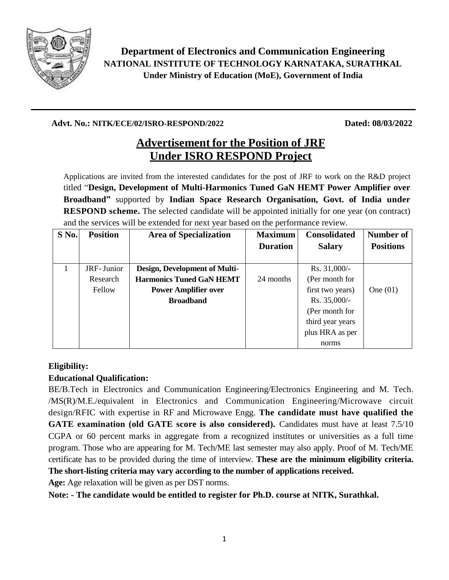

**Department of Electronics and Communication Engineering NATIONAL INSTITUTE OF TECHNOLOGY KARNATAKA, SURATHKAL Under Ministry of Education (MoE), Government of India**

#### **Advt. No.: NITK/ECE/02/ISRO-RESPOND/2022 Dated: 08/03/2022**

# **Advertisement for the Position of JRF Under ISRO RESPOND Project**

Applications are invited from the interested candidates for the post of JRF to work on the R&D project titled "**Design, Development of Multi-Harmonics Tuned GaN HEMT Power Amplifier over Broadband"** supported by **Indian Space Research Organisation, Govt. of India under RESPOND scheme.** The selected candidate will be appointed initially for one year (on contract) and the services will be extended for next year based on the performance review.

| $S$ No. | <b>Position</b> | <b>Area of Specialization</b>   | <b>Maximum</b>  | <b>Consolidated</b> | Number of        |
|---------|-----------------|---------------------------------|-----------------|---------------------|------------------|
|         |                 |                                 | <b>Duration</b> | <b>Salary</b>       | <b>Positions</b> |
|         |                 |                                 |                 |                     |                  |
|         | JRF-Junior      | Design, Development of Multi-   |                 | Rs. $31,000/-$      |                  |
|         | Research        | <b>Harmonics Tuned GaN HEMT</b> | 24 months       | (Per month for      |                  |
|         | Fellow          | <b>Power Amplifier over</b>     |                 | first two years)    | One $(01)$       |
|         |                 | <b>Broadband</b>                |                 | Rs. 35,000/-        |                  |
|         |                 |                                 |                 | (Per month for      |                  |
|         |                 |                                 |                 | third year years    |                  |
|         |                 |                                 |                 | plus HRA as per     |                  |
|         |                 |                                 |                 | norms               |                  |

## **Eligibility:**

## **Educational Qualification:**

BE/B.Tech in Electronics and Communication Engineering/Electronics Engineering and M. Tech. /MS(R)/M.E./equivalent in Electronics and Communication Engineering/Microwave circuit design/RFIC with expertise in RF and Microwave Engg. **The candidate must have qualified the GATE examination (old GATE score is also considered).** Candidates must have at least 7.5/10 CGPA or 60 percent marks in aggregate from a recognized institutes or universities as a full time program. Those who are appearing for M. Tech/ME last semester may also apply. Proof of M. Tech/ME certificate has to be provided during the time of interview. **These are the minimum eligibility criteria. The short-listing criteria may vary according to the number of applications received.**

**Age:** Age relaxation will be given as per DST norms.

 **Note: - The candidate would be entitled to register for Ph.D. course at NITK, Surathkal.**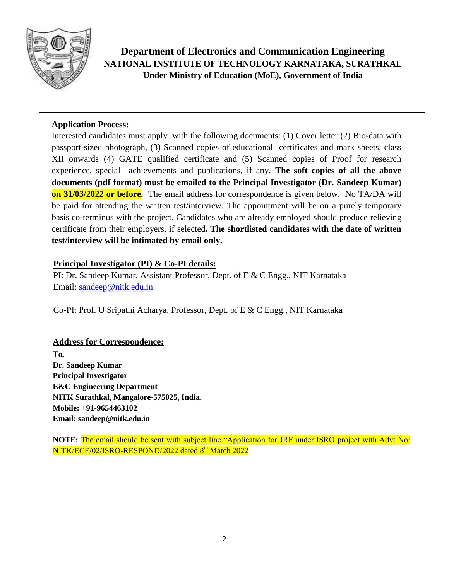

**Department of Electronics and Communication Engineering NATIONAL INSTITUTE OF TECHNOLOGY KARNATAKA, SURATHKAL Under Ministry of Education (MoE), Government of India**

#### **Application Process:**

Interested candidates must apply with the following documents: (1) Cover letter (2) Bio-data with passport-sized photograph, (3) Scanned copies of educational certificates and mark sheets, class XII onwards (4) GATE qualified certificate and (5) Scanned copies of Proof for research experience, special achievements and publications, if any. **The soft copies of all the above documents (pdf format) must be emailed to the Principal Investigator (Dr. Sandeep Kumar) on 31/03/2022 or before.** The email address for correspondence is given below. No TA/DA will be paid for attending the written test/interview. The appointment will be on a purely temporary basis co-terminus with the project. Candidates who are already employed should produce relieving certificate from their employers, if selected**. The shortlisted candidates with the date of written test/interview will be intimated by email only.** 

#### **Principal Investigator (PI) & Co-PI details:**

PI: Dr. Sandeep Kumar, Assistant Professor, Dept. of E & C Engg., NIT Karnataka Email: [sandeep@nitk.edu.in](mailto:sandeep@nitk.edu.in)

Co-PI: Prof. U Sripathi Acharya, Professor, Dept. of E & C Engg., NIT Karnataka

#### **Address for Correspondence:**

**To, Dr. Sandeep Kumar Principal Investigator E&C Engineering Department NITK Surathkal, Mangalore-575025, India. Mobile: +91-9654463102 Email: sandeep@nitk.edu.in**

**NOTE:** The email should be sent with subject line "Application for JRF under ISRO project with Advt No: NITK/ECE/02/ISRO-RESPOND/2022 dated 8<sup>th</sup> Match 2022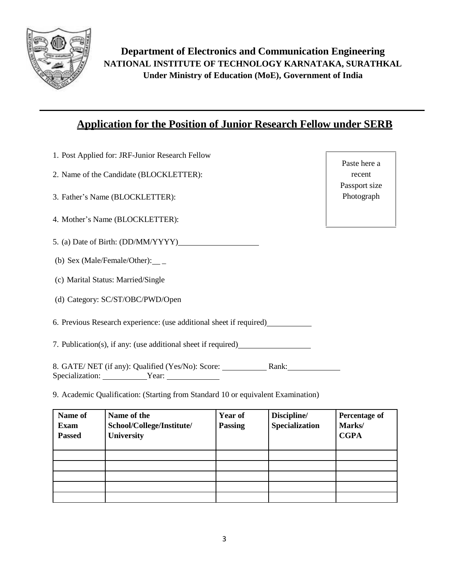

## **Application for the Position of Junior Research Fellow under SERB**

- 1. Post Applied for: JRF-Junior Research Fellow
- 2. Name of the Candidate (BLOCKLETTER):
- 3. Father's Name (BLOCKLETTER):
- 4. Mother's Name (BLOCKLETTER):
- 5. (a) Date of Birth: (DD/MM/YYYY)
- (b) Sex (Male/Female/Other): $\_\_$
- (c) Marital Status: Married/Single
- (d) Category: SC/ST/OBC/PWD/Open
- 6. Previous Research experience: (use additional sheet if required)
- 7. Publication(s), if any: (use additional sheet if required)

8. GATE/ NET (if any): Qualified (Yes/No): Score: Rank: Specialization: Year: Year:

9. Academic Qualification: (Starting from Standard 10 or equivalent Examination)

| Name of<br><b>Exam</b><br><b>Passed</b> | Name of the<br>School/College/Institute/<br><b>University</b> | <b>Year of</b><br><b>Passing</b> | Discipline/<br><b>Specialization</b> | Percentage of<br>Marks/<br><b>CGPA</b> |
|-----------------------------------------|---------------------------------------------------------------|----------------------------------|--------------------------------------|----------------------------------------|
|                                         |                                                               |                                  |                                      |                                        |
|                                         |                                                               |                                  |                                      |                                        |
|                                         |                                                               |                                  |                                      |                                        |
|                                         |                                                               |                                  |                                      |                                        |
|                                         |                                                               |                                  |                                      |                                        |

| Paste here a  |  |  |  |
|---------------|--|--|--|
| recent        |  |  |  |
| Passport size |  |  |  |
| Photograph    |  |  |  |
|               |  |  |  |